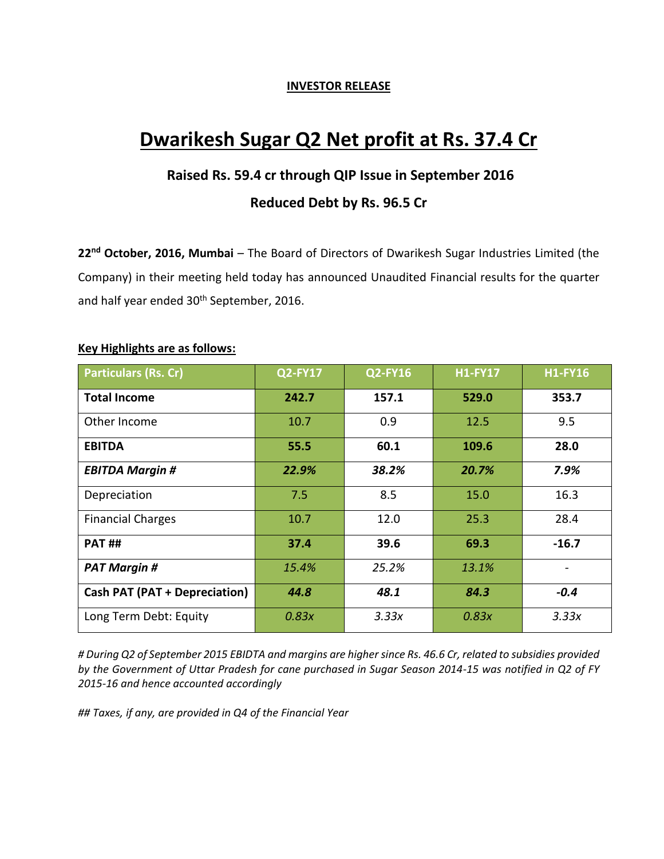#### **INVESTOR RELEASE**

# **Dwarikesh Sugar Q2 Net profit at Rs. 37.4 Cr**

# **Raised Rs. 59.4 cr through QIP Issue in September 2016**

## **Reduced Debt by Rs. 96.5 Cr**

**22nd October, 2016, Mumbai** – The Board of Directors of Dwarikesh Sugar Industries Limited (the Company) in their meeting held today has announced Unaudited Financial results for the quarter and half year ended 30<sup>th</sup> September, 2016.

| <b>Particulars (Rs. Cr)</b>          | <b>Q2-FY17</b> | <b>Q2-FY16</b> | <b>H1-FY17</b> | <b>H1-FY16</b> |
|--------------------------------------|----------------|----------------|----------------|----------------|
| <b>Total Income</b>                  | 242.7          | 157.1          | 529.0          | 353.7          |
| Other Income                         | 10.7           | 0.9            | 12.5           | 9.5            |
| <b>EBITDA</b>                        | 55.5           | 60.1           | 109.6          | 28.0           |
| <b>EBITDA Margin #</b>               | 22.9%          | 38.2%          | 20.7%          | 7.9%           |
| Depreciation                         | 7.5            | 8.5            | 15.0           | 16.3           |
| <b>Financial Charges</b>             | 10.7           | 12.0           | 25.3           | 28.4           |
| <b>PAT##</b>                         | 37.4           | 39.6           | 69.3           | $-16.7$        |
| <b>PAT Margin #</b>                  | 15.4%          | 25.2%          | 13.1%          |                |
| <b>Cash PAT (PAT + Depreciation)</b> | 44.8           | 48.1           | 84.3           | $-0.4$         |
| Long Term Debt: Equity               | 0.83x          | 3.33x          | 0.83x          | 3.33x          |

#### **Key Highlights are as follows:**

*# During Q2 of September 2015 EBIDTA and margins are highersince Rs. 46.6 Cr, related to subsidies provided by the Government of Uttar Pradesh for cane purchased in Sugar Season 2014-15 was notified in Q2 of FY 2015-16 and hence accounted accordingly*

*## Taxes, if any, are provided in Q4 of the Financial Year*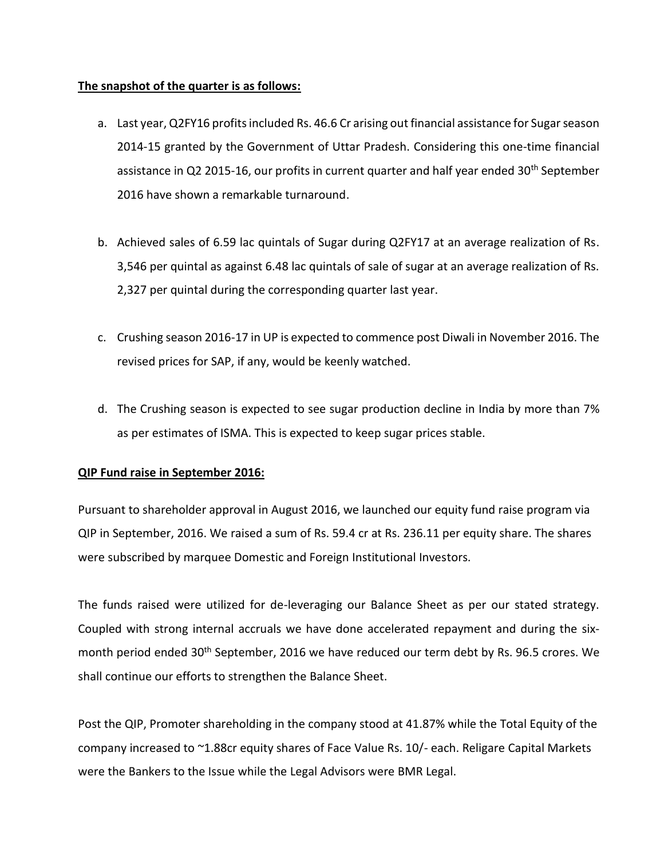#### **The snapshot of the quarter is as follows:**

- a. Last year, Q2FY16 profits included Rs. 46.6 Cr arising out financial assistance for Sugar season 2014-15 granted by the Government of Uttar Pradesh. Considering this one-time financial assistance in Q2 2015-16, our profits in current quarter and half year ended  $30<sup>th</sup>$  September 2016 have shown a remarkable turnaround.
- b. Achieved sales of 6.59 lac quintals of Sugar during Q2FY17 at an average realization of Rs. 3,546 per quintal as against 6.48 lac quintals of sale of sugar at an average realization of Rs. 2,327 per quintal during the corresponding quarter last year.
- c. Crushing season 2016-17 in UP is expected to commence post Diwali in November 2016. The revised prices for SAP, if any, would be keenly watched.
- d. The Crushing season is expected to see sugar production decline in India by more than 7% as per estimates of ISMA. This is expected to keep sugar prices stable.

#### **QIP Fund raise in September 2016:**

Pursuant to shareholder approval in August 2016, we launched our equity fund raise program via QIP in September, 2016. We raised a sum of Rs. 59.4 cr at Rs. 236.11 per equity share. The shares were subscribed by marquee Domestic and Foreign Institutional Investors.

The funds raised were utilized for de-leveraging our Balance Sheet as per our stated strategy. Coupled with strong internal accruals we have done accelerated repayment and during the sixmonth period ended 30<sup>th</sup> September, 2016 we have reduced our term debt by Rs. 96.5 crores. We shall continue our efforts to strengthen the Balance Sheet.

Post the QIP, Promoter shareholding in the company stood at 41.87% while the Total Equity of the company increased to ~1.88cr equity shares of Face Value Rs. 10/- each. Religare Capital Markets were the Bankers to the Issue while the Legal Advisors were BMR Legal.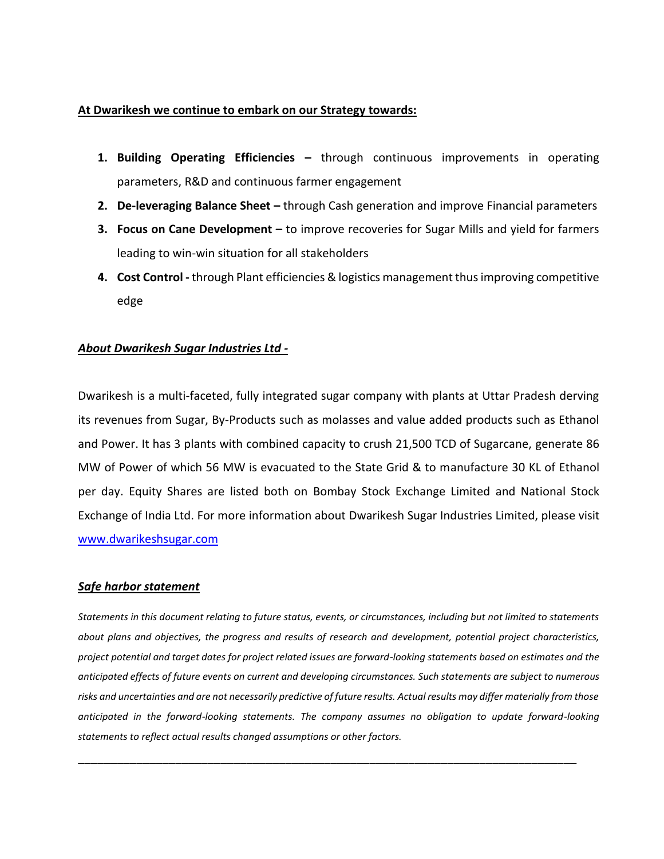#### **At Dwarikesh we continue to embark on our Strategy towards:**

- **1. Building Operating Efficiencies –** through continuous improvements in operating parameters, R&D and continuous farmer engagement
- **2. De-leveraging Balance Sheet –** through Cash generation and improve Financial parameters
- **3. Focus on Cane Development –** to improve recoveries for Sugar Mills and yield for farmers leading to win-win situation for all stakeholders
- **4. Cost Control -** through Plant efficiencies & logistics management thus improving competitive edge

#### *About Dwarikesh Sugar Industries Ltd -*

Dwarikesh is a multi-faceted, fully integrated sugar company with plants at Uttar Pradesh derving its revenues from Sugar, By-Products such as molasses and value added products such as Ethanol and Power. It has 3 plants with combined capacity to crush 21,500 TCD of Sugarcane, generate 86 MW of Power of which 56 MW is evacuated to the State Grid & to manufacture 30 KL of Ethanol per day. Equity Shares are listed both on Bombay Stock Exchange Limited and National Stock Exchange of India Ltd. For more information about Dwarikesh Sugar Industries Limited, please visit [www.dwarikeshsugar.com](http://www.dwarikeshsugar.com/)

#### *Safe harbor statement*

*Statements in this document relating to future status, events, or circumstances, including but not limited to statements about plans and objectives, the progress and results of research and development, potential project characteristics, project potential and target dates for project related issues are forward-looking statements based on estimates and the anticipated effects of future events on current and developing circumstances. Such statements are subject to numerous risks and uncertainties and are not necessarily predictive of future results. Actual results may differ materially from those anticipated in the forward-looking statements. The company assumes no obligation to update forward-looking statements to reflect actual results changed assumptions or other factors.*

\_\_\_\_\_\_\_\_\_\_\_\_\_\_\_\_\_\_\_\_\_\_\_\_\_\_\_\_\_\_\_\_\_\_\_\_\_\_\_\_\_\_\_\_\_\_\_\_\_\_\_\_\_\_\_\_\_\_\_\_\_\_\_\_\_\_\_\_\_\_\_\_\_\_\_\_\_